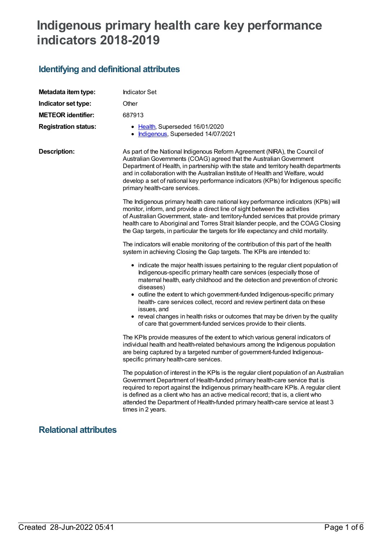## **Indigenous primary health care key performance indicators 2018-2019**

## **Identifying and definitional attributes**

| Metadata item type:          | <b>Indicator Set</b>                                                                                                                                                                                                                                                                                                                                                                                                                                     |
|------------------------------|----------------------------------------------------------------------------------------------------------------------------------------------------------------------------------------------------------------------------------------------------------------------------------------------------------------------------------------------------------------------------------------------------------------------------------------------------------|
| Indicator set type:          | Other                                                                                                                                                                                                                                                                                                                                                                                                                                                    |
| <b>METEOR identifier:</b>    | 687913                                                                                                                                                                                                                                                                                                                                                                                                                                                   |
| <b>Registration status:</b>  | • Health, Superseded 16/01/2020<br>• Indigenous, Superseded 14/07/2021                                                                                                                                                                                                                                                                                                                                                                                   |
| <b>Description:</b>          | As part of the National Indigenous Reform Agreement (NIRA), the Council of<br>Australian Governments (COAG) agreed that the Australian Government<br>Department of Health, in partnership with the state and territory health departments<br>and in collaboration with the Australian Institute of Health and Welfare, would<br>develop a set of national key performance indicators (KPIs) for Indigenous specific<br>primary health-care services.     |
|                              | The Indigenous primary health care national key performance indicators (KPIs) will<br>monitor, inform, and provide a direct line of sight between the activities<br>of Australian Government, state- and territory-funded services that provide primary<br>health care to Aboriginal and Torres Strait Islander people, and the COAG Closing<br>the Gap targets, in particular the targets for life expectancy and child mortality.                      |
|                              | The indicators will enable monitoring of the contribution of this part of the health<br>system in achieving Closing the Gap targets. The KPIs are intended to:                                                                                                                                                                                                                                                                                           |
|                              | • indicate the major health issues pertaining to the regular client population of<br>Indigenous-specific primary health care services (especially those of<br>maternal health, early childhood and the detection and prevention of chronic<br>diseases)<br>• outline the extent to which government-funded Indigenous-specific primary<br>health- care services collect, record and review pertinent data on these<br>issues, and                        |
|                              | • reveal changes in health risks or outcomes that may be driven by the quality<br>of care that government-funded services provide to their clients.                                                                                                                                                                                                                                                                                                      |
|                              | The KPIs provide measures of the extent to which various general indicators of<br>individual health and health-related behaviours among the Indigenous population<br>are being captured by a targeted number of government-funded Indigenous-<br>specific primary health-care services.                                                                                                                                                                  |
|                              | The population of interest in the KPIs is the regular client population of an Australian<br>Government Department of Health-funded primary health-care service that is<br>required to report against the Indigenous primary health-care KPIs. A regular client<br>is defined as a client who has an active medical record; that is, a client who<br>attended the Department of Health-funded primary health-care service at least 3<br>times in 2 years. |
| <b>Relational attributes</b> |                                                                                                                                                                                                                                                                                                                                                                                                                                                          |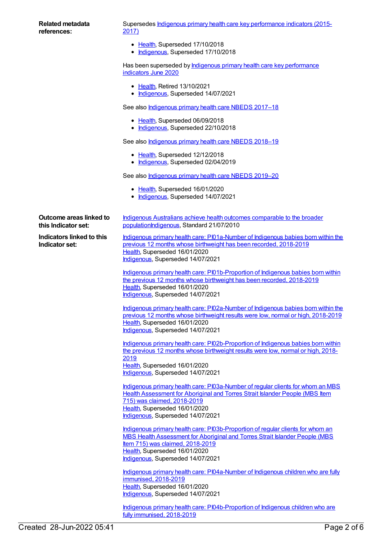Supersedes **Indigenous primary health care key [performance](https://meteor.aihw.gov.au/content/686315) indicators (2015-**2017)

- [Health](https://meteor.aihw.gov.au/RegistrationAuthority/12), Superseded 17/10/2018
- [Indigenous](https://meteor.aihw.gov.au/RegistrationAuthority/6), Superseded 17/10/2018

Has been superseded by **Indigenous primary health care key [performance](https://meteor.aihw.gov.au/content/717261)** indicators June 2020

- [Health](https://meteor.aihw.gov.au/RegistrationAuthority/12), Retired 13/10/2021
- [Indigenous](https://meteor.aihw.gov.au/RegistrationAuthority/6), Superseded 14/07/2021

See also *[Indigenous](https://meteor.aihw.gov.au/content/686603) primary health care NBEDS 2017-18* 

- [Health](https://meteor.aihw.gov.au/RegistrationAuthority/12), Superseded 06/09/2018
- [Indigenous](https://meteor.aihw.gov.au/RegistrationAuthority/6), Superseded 22/10/2018

See also *[Indigenous](https://meteor.aihw.gov.au/content/694101) primary health care NBEDS* 2018-19

- [Health](https://meteor.aihw.gov.au/RegistrationAuthority/12), Superseded 12/12/2018
- [Indigenous](https://meteor.aihw.gov.au/RegistrationAuthority/6), Superseded 02/04/2019

See also [Indigenous](https://meteor.aihw.gov.au/content/707502) primary health care NBEDS 2019–20

- [Health](https://meteor.aihw.gov.au/RegistrationAuthority/12), Superseded 16/01/2020
- [Indigenous](https://meteor.aihw.gov.au/RegistrationAuthority/6), Superseded 14/07/2021

[populationIndigenous,](https://meteor.aihw.gov.au/content/396115) Standard 21/07/2010

[Indigenous](https://meteor.aihw.gov.au/RegistrationAuthority/6), Superseded 14/07/2021

**Outcome areas linked to this Indicator set:**

**Indicators linked to this Indicator set:**

Indigenous primary health care: [PI01a-Number](https://meteor.aihw.gov.au/content/687916) of Indigenous babies born within the previous 12 months whose birthweight has been recorded, 2018-2019 [Health](https://meteor.aihw.gov.au/RegistrationAuthority/12), Superseded 16/01/2020

Indigenous Australians achieve health outcomes comparable to the broader

Indigenous primary health care: [PI01b-Proportion](https://meteor.aihw.gov.au/content/687918) of Indigenous babies born within the previous 12 months whose birthweight has been recorded, 2018-2019 [Health](https://meteor.aihw.gov.au/RegistrationAuthority/12), Superseded 16/01/2020 [Indigenous](https://meteor.aihw.gov.au/RegistrationAuthority/6), Superseded 14/07/2021

Indigenous primary health care: [PI02a-Number](https://meteor.aihw.gov.au/content/687921) of Indigenous babies born within the previous 12 months whose birthweight results were low, normal or high, 2018-2019 [Health](https://meteor.aihw.gov.au/RegistrationAuthority/12), Superseded 16/01/2020 [Indigenous](https://meteor.aihw.gov.au/RegistrationAuthority/6), Superseded 14/07/2021

Indigenous primary health care: [PI02b-Proportion](https://meteor.aihw.gov.au/content/687923) of Indigenous babies born within the previous 12 months whose birthweight results were low, normal or high, 2018- 2019 [Health](https://meteor.aihw.gov.au/RegistrationAuthority/12), Superseded 16/01/2020 [Indigenous](https://meteor.aihw.gov.au/RegistrationAuthority/6), Superseded 14/07/2021

Indigenous primary health care: [PI03a-Number](https://meteor.aihw.gov.au/content/687925) of regular clients for whom an MBS Health Assessment for Aboriginal and Torres Strait Islander People (MBS Item 715) was claimed, 2018-2019 [Health](https://meteor.aihw.gov.au/RegistrationAuthority/12), Superseded 16/01/2020 [Indigenous](https://meteor.aihw.gov.au/RegistrationAuthority/6), Superseded 14/07/2021

Indigenous primary health care: [PI03b-Proportion](https://meteor.aihw.gov.au/content/687927) of regular clients for whom an MBS Health Assessment for Aboriginal and Torres Strait Islander People (MBS Item 715) was claimed, 2018-2019 [Health](https://meteor.aihw.gov.au/RegistrationAuthority/12), Superseded 16/01/2020 [Indigenous](https://meteor.aihw.gov.au/RegistrationAuthority/6), Superseded 14/07/2021

Indigenous primary health care: [PI04a-Number](https://meteor.aihw.gov.au/content/687929) of Indigenous children who are fully immunised, 2018-2019 [Health](https://meteor.aihw.gov.au/RegistrationAuthority/12), Superseded 16/01/2020 [Indigenous](https://meteor.aihw.gov.au/RegistrationAuthority/6), Superseded 14/07/2021

Indigenous primary health care: [PI04b-Proportion](https://meteor.aihw.gov.au/content/687937) of Indigenous children who are fully immunised, 2018-2019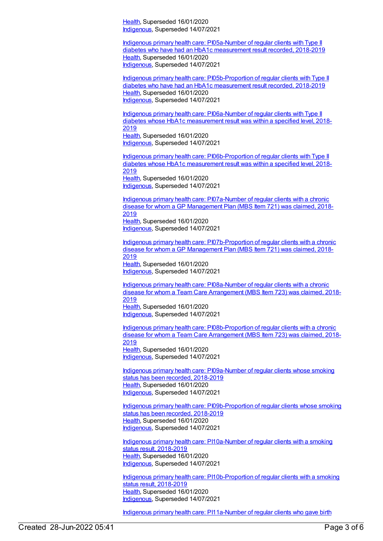[Health](https://meteor.aihw.gov.au/RegistrationAuthority/12), Superseded 16/01/2020 [Indigenous](https://meteor.aihw.gov.au/RegistrationAuthority/6), Superseded 14/07/2021

Indigenous primary health care: [PI05a-Number](https://meteor.aihw.gov.au/content/687939) of regular clients with Type II diabetes who have had an HbA1c measurement result recorded, 2018-2019 [Health](https://meteor.aihw.gov.au/RegistrationAuthority/12), Superseded 16/01/2020 [Indigenous](https://meteor.aihw.gov.au/RegistrationAuthority/6), Superseded 14/07/2021

Indigenous primary health care: [PI05b-Proportion](https://meteor.aihw.gov.au/content/687941) of regular clients with Type II diabetes who have had an HbA1c measurement result recorded, 2018-2019 [Health](https://meteor.aihw.gov.au/RegistrationAuthority/12), Superseded 16/01/2020 [Indigenous](https://meteor.aihw.gov.au/RegistrationAuthority/6), Superseded 14/07/2021

Indigenous primary health care: [PI06a-Number](https://meteor.aihw.gov.au/content/687943) of regular clients with Type II diabetes whose HbA1c measurement result was within a specified level, 2018- 2019 [Health](https://meteor.aihw.gov.au/RegistrationAuthority/12), Superseded 16/01/2020 [Indigenous](https://meteor.aihw.gov.au/RegistrationAuthority/6), Superseded 14/07/2021

Indigenous primary health care: [PI06b-Proportion](https://meteor.aihw.gov.au/content/687945) of regular clients with Type II diabetes whose HbA1c measurement result was within a specified level, 2018- 2019 [Health](https://meteor.aihw.gov.au/RegistrationAuthority/12), Superseded 16/01/2020 [Indigenous](https://meteor.aihw.gov.au/RegistrationAuthority/6), Superseded 14/07/2021

Indigenous primary health care: [PI07a-Number](https://meteor.aihw.gov.au/content/687948) of regular clients with a chronic disease for whom a GP Management Plan (MBS Item 721) was claimed, 2018- 2019 [Health](https://meteor.aihw.gov.au/RegistrationAuthority/12), Superseded 16/01/2020 [Indigenous](https://meteor.aihw.gov.au/RegistrationAuthority/6), Superseded 14/07/2021

Indigenous primary health care: [PI07b-Proportion](https://meteor.aihw.gov.au/content/687950) of regular clients with a chronic disease for whom a GP Management Plan (MBS Item 721) was claimed, 2018- 2019 [Health](https://meteor.aihw.gov.au/RegistrationAuthority/12), Superseded 16/01/2020 [Indigenous](https://meteor.aihw.gov.au/RegistrationAuthority/6), Superseded 14/07/2021

Indigenous primary health care: [PI08a-Number](https://meteor.aihw.gov.au/content/687952) of regular clients with a chronic disease for whom a Team Care Arrangement (MBS Item 723) was claimed, 2018- 2019 [Health](https://meteor.aihw.gov.au/RegistrationAuthority/12), Superseded 16/01/2020 [Indigenous](https://meteor.aihw.gov.au/RegistrationAuthority/6), Superseded 14/07/2021

Indigenous primary health care: [PI08b-Proportion](https://meteor.aihw.gov.au/content/687954) of regular clients with a chronic disease for whom a Team Care Arrangement (MBS Item 723) was claimed, 2018- 2019 [Health](https://meteor.aihw.gov.au/RegistrationAuthority/12), Superseded 16/01/2020 [Indigenous](https://meteor.aihw.gov.au/RegistrationAuthority/6), Superseded 14/07/2021

Indigenous primary health care: [PI09a-Number](https://meteor.aihw.gov.au/content/687957) of regular clients whose smoking status has been recorded, 2018-2019 [Health](https://meteor.aihw.gov.au/RegistrationAuthority/12), Superseded 16/01/2020 [Indigenous](https://meteor.aihw.gov.au/RegistrationAuthority/6), Superseded 14/07/2021

Indigenous primary health care: [PI09b-Proportion](https://meteor.aihw.gov.au/content/687959) of regular clients whose smoking status has been recorded, 2018-2019 [Health](https://meteor.aihw.gov.au/RegistrationAuthority/12), Superseded 16/01/2020 [Indigenous](https://meteor.aihw.gov.au/RegistrationAuthority/6), Superseded 14/07/2021

Indigenous primary health care: [PI10a-Number](https://meteor.aihw.gov.au/content/687961) of regular clients with a smoking status result, 2018-2019 [Health](https://meteor.aihw.gov.au/RegistrationAuthority/12), Superseded 16/01/2020 [Indigenous](https://meteor.aihw.gov.au/RegistrationAuthority/6), Superseded 14/07/2021

Indigenous primary health care: [PI10b-Proportion](https://meteor.aihw.gov.au/content/687963) of regular clients with a smoking status result, 2018-2019 [Health](https://meteor.aihw.gov.au/RegistrationAuthority/12), Superseded 16/01/2020 [Indigenous](https://meteor.aihw.gov.au/RegistrationAuthority/6), Superseded 14/07/2021

Indigenous primary health care: PI11a-Number of regular clients who gave birth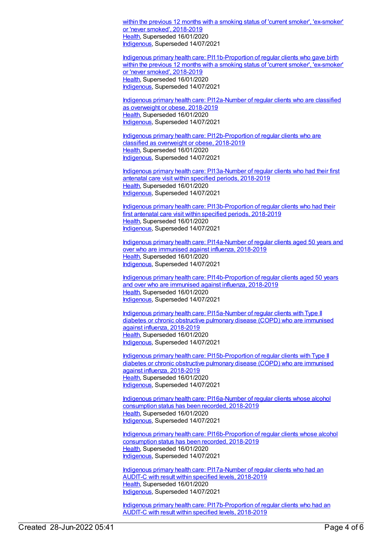within the previous 12 months with a smoking status of 'current smoker', ['ex-smoker](https://meteor.aihw.gov.au/content/687966)' or 'never smoked', 2018-2019 [Health](https://meteor.aihw.gov.au/RegistrationAuthority/12), Superseded 16/01/2020 [Indigenous](https://meteor.aihw.gov.au/RegistrationAuthority/6), Superseded 14/07/2021

Indigenous primary health care: [PI11b-Proportion](https://meteor.aihw.gov.au/content/687968) of regular clients who gave birth within the previous 12 months with a smoking status of 'current smoker', 'ex-smoker' or 'never smoked', 2018-2019 [Health](https://meteor.aihw.gov.au/RegistrationAuthority/12), Superseded 16/01/2020 [Indigenous](https://meteor.aihw.gov.au/RegistrationAuthority/6), Superseded 14/07/2021

Indigenous primary health care: [PI12a-Number](https://meteor.aihw.gov.au/content/687970) of regular clients who are classified as overweight or obese, 2018-2019 [Health](https://meteor.aihw.gov.au/RegistrationAuthority/12), Superseded 16/01/2020 [Indigenous](https://meteor.aihw.gov.au/RegistrationAuthority/6), Superseded 14/07/2021

Indigenous primary health care: [PI12b-Proportion](https://meteor.aihw.gov.au/content/687972) of regular clients who are classified as overweight or obese, 2018-2019 [Health](https://meteor.aihw.gov.au/RegistrationAuthority/12), Superseded 16/01/2020 [Indigenous](https://meteor.aihw.gov.au/RegistrationAuthority/6), Superseded 14/07/2021

Indigenous primary health care: [PI13a-Number](https://meteor.aihw.gov.au/content/687974) of regular clients who had their first antenatal care visit within specified periods, 2018-2019 [Health](https://meteor.aihw.gov.au/RegistrationAuthority/12), Superseded 16/01/2020 [Indigenous](https://meteor.aihw.gov.au/RegistrationAuthority/6), Superseded 14/07/2021

Indigenous primary health care: [PI13b-Proportion](https://meteor.aihw.gov.au/content/687976) of regular clients who had their first antenatal care visit within specified periods, 2018-2019 [Health](https://meteor.aihw.gov.au/RegistrationAuthority/12), Superseded 16/01/2020 [Indigenous](https://meteor.aihw.gov.au/RegistrationAuthority/6), Superseded 14/07/2021

Indigenous primary health care: [PI14a-Number](https://meteor.aihw.gov.au/content/687978) of regular clients aged 50 years and over who are immunised against influenza, 2018-2019 [Health](https://meteor.aihw.gov.au/RegistrationAuthority/12), Superseded 16/01/2020 [Indigenous](https://meteor.aihw.gov.au/RegistrationAuthority/6), Superseded 14/07/2021

Indigenous primary health care: [PI14b-Proportion](https://meteor.aihw.gov.au/content/687980) of regular clients aged 50 years and over who are immunised against influenza, 2018-2019 [Health](https://meteor.aihw.gov.au/RegistrationAuthority/12), Superseded 16/01/2020 [Indigenous](https://meteor.aihw.gov.au/RegistrationAuthority/6), Superseded 14/07/2021

Indigenous primary health care: [PI15a-Number](https://meteor.aihw.gov.au/content/687982) of regular clients with Type II diabetes or chronic obstructive pulmonary disease (COPD) who are immunised against influenza, 2018-2019 [Health](https://meteor.aihw.gov.au/RegistrationAuthority/12), Superseded 16/01/2020 [Indigenous](https://meteor.aihw.gov.au/RegistrationAuthority/6), Superseded 14/07/2021

Indigenous primary health care: [PI15b-Proportion](https://meteor.aihw.gov.au/content/687984) of regular clients with Type II diabetes or chronic obstructive pulmonary disease (COPD) who are immunised against influenza, 2018-2019 [Health](https://meteor.aihw.gov.au/RegistrationAuthority/12), Superseded 16/01/2020 [Indigenous](https://meteor.aihw.gov.au/RegistrationAuthority/6), Superseded 14/07/2021

Indigenous primary health care: [PI16a-Number](https://meteor.aihw.gov.au/content/687988) of regular clients whose alcohol consumption status has been recorded, 2018-2019 [Health](https://meteor.aihw.gov.au/RegistrationAuthority/12), Superseded 16/01/2020 [Indigenous](https://meteor.aihw.gov.au/RegistrationAuthority/6), Superseded 14/07/2021

Indigenous primary health care: [PI16b-Proportion](https://meteor.aihw.gov.au/content/687990) of regular clients whose alcohol consumption status has been recorded, 2018-2019 [Health](https://meteor.aihw.gov.au/RegistrationAuthority/12), Superseded 16/01/2020 [Indigenous](https://meteor.aihw.gov.au/RegistrationAuthority/6), Superseded 14/07/2021

Indigenous primary health care: [PI17a-Number](https://meteor.aihw.gov.au/content/687992) of regular clients who had an AUDIT-C with result within specified levels, 2018-2019 [Health](https://meteor.aihw.gov.au/RegistrationAuthority/12), Superseded 16/01/2020 [Indigenous](https://meteor.aihw.gov.au/RegistrationAuthority/6), Superseded 14/07/2021

Indigenous primary health care: [PI17b-Proportion](https://meteor.aihw.gov.au/content/687994) of regular clients who had an AUDIT-C with result within specified levels, 2018-2019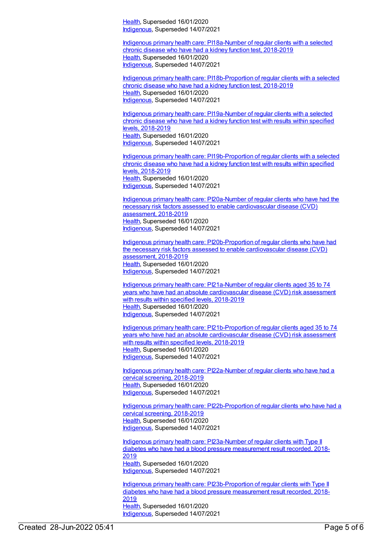[Health](https://meteor.aihw.gov.au/RegistrationAuthority/12), Superseded 16/01/2020 [Indigenous](https://meteor.aihw.gov.au/RegistrationAuthority/6), Superseded 14/07/2021

Indigenous primary health care: [PI18a-Number](https://meteor.aihw.gov.au/content/687996) of regular clients with a selected chronic disease who have had a kidney function test, 2018-2019 [Health](https://meteor.aihw.gov.au/RegistrationAuthority/12), Superseded 16/01/2020 [Indigenous](https://meteor.aihw.gov.au/RegistrationAuthority/6), Superseded 14/07/2021

Indigenous primary health care: [PI18b-Proportion](https://meteor.aihw.gov.au/content/687998) of regular clients with a selected chronic disease who have had a kidney function test, 2018-2019 [Health](https://meteor.aihw.gov.au/RegistrationAuthority/12), Superseded 16/01/2020 [Indigenous](https://meteor.aihw.gov.au/RegistrationAuthority/6), Superseded 14/07/2021

Indigenous primary health care: [PI19a-Number](https://meteor.aihw.gov.au/content/688000) of regular clients with a selected chronic disease who have had a kidney function test with results within specified levels, 2018-2019 [Health](https://meteor.aihw.gov.au/RegistrationAuthority/12), Superseded 16/01/2020 [Indigenous](https://meteor.aihw.gov.au/RegistrationAuthority/6), Superseded 14/07/2021

Indigenous primary health care: [PI19b-Proportion](https://meteor.aihw.gov.au/content/688002) of regular clients with a selected chronic disease who have had a kidney function test with results within specified levels, 2018-2019 [Health](https://meteor.aihw.gov.au/RegistrationAuthority/12), Superseded 16/01/2020 [Indigenous](https://meteor.aihw.gov.au/RegistrationAuthority/6), Superseded 14/07/2021

Indigenous primary health care: PI20a-Number of regular clients who have had the necessary risk factors assessed to enable [cardiovascular](https://meteor.aihw.gov.au/content/688004) disease (CVD) assessment, 2018-2019 [Health](https://meteor.aihw.gov.au/RegistrationAuthority/12), Superseded 16/01/2020 [Indigenous](https://meteor.aihw.gov.au/RegistrationAuthority/6), Superseded 14/07/2021

Indigenous primary health care: [PI20b-Proportion](https://meteor.aihw.gov.au/content/688007) of regular clients who have had the necessary risk factors assessed to enable cardiovascular disease (CVD) assessment, 2018-2019 [Health](https://meteor.aihw.gov.au/RegistrationAuthority/12), Superseded 16/01/2020 [Indigenous](https://meteor.aihw.gov.au/RegistrationAuthority/6), Superseded 14/07/2021

Indigenous primary health care: PI21a-Number of regular clients aged 35 to 74 years who have had an absolute [cardiovascular](https://meteor.aihw.gov.au/content/688009) disease (CVD) risk assessment with results within specified levels, 2018-2019 [Health](https://meteor.aihw.gov.au/RegistrationAuthority/12), Superseded 16/01/2020 [Indigenous](https://meteor.aihw.gov.au/RegistrationAuthority/6), Superseded 14/07/2021

Indigenous primary health care: [PI21b-Proportion](https://meteor.aihw.gov.au/content/688012) of regular clients aged 35 to 74 years who have had an absolute cardiovascular disease (CVD) risk assessment with results within specified levels, 2018-2019 [Health](https://meteor.aihw.gov.au/RegistrationAuthority/12), Superseded 16/01/2020 [Indigenous](https://meteor.aihw.gov.au/RegistrationAuthority/6), Superseded 14/07/2021

Indigenous primary health care: [PI22a-Number](https://meteor.aihw.gov.au/content/688014) of regular clients who have had a cervical screening, 2018-2019 [Health](https://meteor.aihw.gov.au/RegistrationAuthority/12), Superseded 16/01/2020 [Indigenous](https://meteor.aihw.gov.au/RegistrationAuthority/6), Superseded 14/07/2021

Indigenous primary health care: [PI22b-Proportion](https://meteor.aihw.gov.au/content/688016) of regular clients who have had a cervical screening, 2018-2019 [Health](https://meteor.aihw.gov.au/RegistrationAuthority/12), Superseded 16/01/2020 [Indigenous](https://meteor.aihw.gov.au/RegistrationAuthority/6), Superseded 14/07/2021

Indigenous primary health care: [PI23a-Number](https://meteor.aihw.gov.au/content/688018) of regular clients with Type II diabetes who have had a blood pressure measurement result recorded, 2018- 2019 [Health](https://meteor.aihw.gov.au/RegistrationAuthority/12), Superseded 16/01/2020 [Indigenous](https://meteor.aihw.gov.au/RegistrationAuthority/6), Superseded 14/07/2021

Indigenous primary health care: [PI23b-Proportion](https://meteor.aihw.gov.au/content/688020) of regular clients with Type II diabetes who have had a blood pressure measurement result recorded, 2018- 2019 [Health](https://meteor.aihw.gov.au/RegistrationAuthority/12), Superseded 16/01/2020 [Indigenous](https://meteor.aihw.gov.au/RegistrationAuthority/6), Superseded 14/07/2021